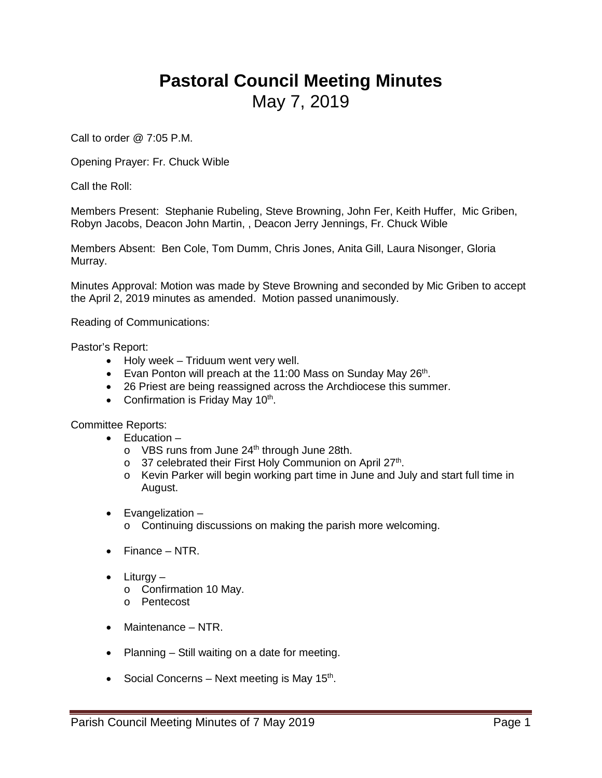## **Pastoral Council Meeting Minutes** May 7, 2019

Call to order @ 7:05 P.M.

Opening Prayer: Fr. Chuck Wible

Call the Roll:

Members Present: Stephanie Rubeling, Steve Browning, John Fer, Keith Huffer, Mic Griben, Robyn Jacobs, Deacon John Martin, , Deacon Jerry Jennings, Fr. Chuck Wible

Members Absent: Ben Cole, Tom Dumm, Chris Jones, Anita Gill, Laura Nisonger, Gloria Murray.

Minutes Approval: Motion was made by Steve Browning and seconded by Mic Griben to accept the April 2, 2019 minutes as amended. Motion passed unanimously.

Reading of Communications:

Pastor's Report:

- Holy week Triduum went very well.
- Evan Ponton will preach at the 11:00 Mass on Sunday May  $26<sup>th</sup>$ .
- 26 Priest are being reassigned across the Archdiocese this summer.
- Confirmation is Friday May  $10^{th}$ .

Committee Reports:

- Education
	- $\circ$  VBS runs from June 24<sup>th</sup> through June 28th.
	- $\circ$  37 celebrated their First Holy Communion on April 27<sup>th</sup>.
	- o Kevin Parker will begin working part time in June and July and start full time in August.
- Evangelization
	- o Continuing discussions on making the parish more welcoming.
- Finance NTR.
- Liturgy
	- o Confirmation 10 May.
	- o Pentecost
- Maintenance NTR.
- Planning Still waiting on a date for meeting.
- Social Concerns Next meeting is May 15<sup>th</sup>.